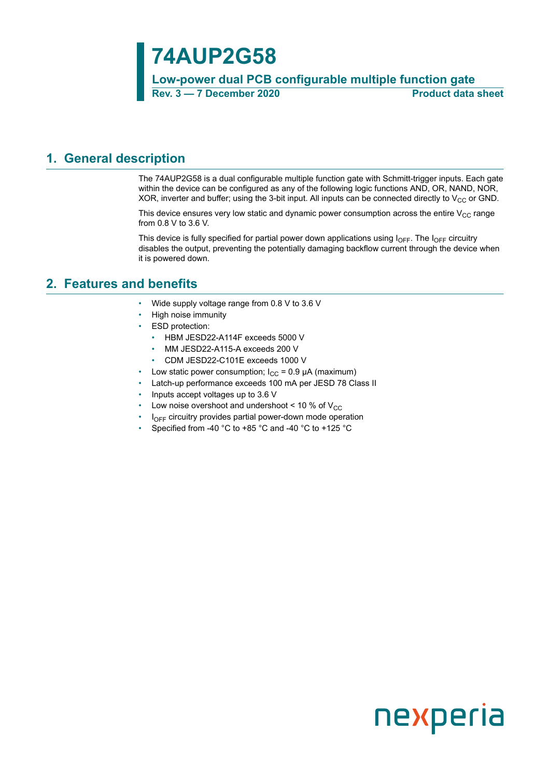## **74AUP2G58**

**Low-power dual PCB configurable multiple function gate Rev. 3 — 7 December 2020 Product data sheet**

### <span id="page-0-0"></span>**1. General description**

The 74AUP2G58 is a dual configurable multiple function gate with Schmitt-trigger inputs. Each gate within the device can be configured as any of the following logic functions AND, OR, NAND, NOR, XOR, inverter and buffer; using the 3-bit input. All inputs can be connected directly to  $V_{CC}$  or GND.

This device ensures very low static and dynamic power consumption across the entire  $V_{CC}$  range from 0.8 V to 3.6 V.

This device is fully specified for partial power down applications using  $I_{\text{OFF}}$ . The  $I_{\text{OFF}}$  circuitry disables the output, preventing the potentially damaging backflow current through the device when it is powered down.

### <span id="page-0-1"></span>**2. Features and benefits**

- Wide supply voltage range from 0.8 V to 3.6 V
- High noise immunity
- ESD protection:
	- HBM JESD22-A114F exceeds 5000 V
	- MM JESD22-A115-A exceeds 200 V
	- CDM JESD22-C101E exceeds 1000 V
- Low static power consumption;  $I_{CC} = 0.9 \mu A$  (maximum)
- Latch-up performance exceeds 100 mA per JESD 78 Class II
- Inputs accept voltages up to 3.6 V
- Low noise overshoot and undershoot < 10 % of  $V_{CC}$
- $I_{\text{OFF}}$  circuitry provides partial power-down mode operation
- Specified from -40 °C to +85 °C and -40 °C to +125 °C

# nexperia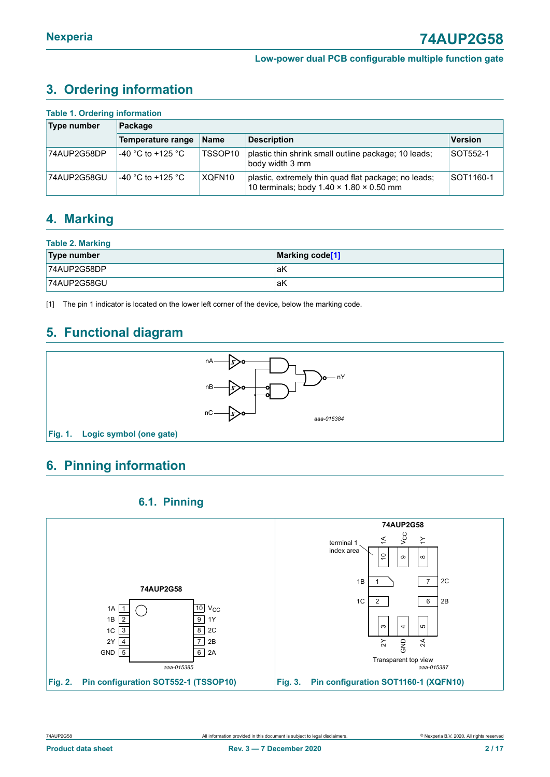### <span id="page-1-1"></span><span id="page-1-0"></span>**3. Ordering information**

| <b>Table 1. Ordering information</b> |                     |                     |                                                                                                              |                |  |  |  |  |  |
|--------------------------------------|---------------------|---------------------|--------------------------------------------------------------------------------------------------------------|----------------|--|--|--|--|--|
| <b>Type number</b>                   | Package             |                     |                                                                                                              |                |  |  |  |  |  |
|                                      | Temperature range   | <b>Name</b>         | <b>Description</b>                                                                                           | <b>Version</b> |  |  |  |  |  |
| 74AUP2G58DP                          | $-40$ °C to +125 °C | TSSOP <sub>10</sub> | plastic thin shrink small outline package; 10 leads;<br>body width 3 mm                                      | SOT552-1       |  |  |  |  |  |
| 74AUP2G58GU                          | $-40$ °C to +125 °C | XQFN10              | plastic, extremely thin quad flat package; no leads;<br>10 terminals; body $1.40 \times 1.80 \times 0.50$ mm | SOT1160-1      |  |  |  |  |  |

### <span id="page-1-2"></span>**4. Marking**

| <b>Table 2. Marking</b> |                 |  |  |  |
|-------------------------|-----------------|--|--|--|
| Type number             | Marking code[1] |  |  |  |
| $ 74$ AUP2G58DP         | aK              |  |  |  |
| 74AUP2G58GU             | laK             |  |  |  |

[1] The pin 1 indicator is located on the lower left corner of the device, below the marking code.

### <span id="page-1-3"></span>**5. Functional diagram**



### <span id="page-1-4"></span>**6. Pinning information**

### <span id="page-1-5"></span>**6.1. Pinning**

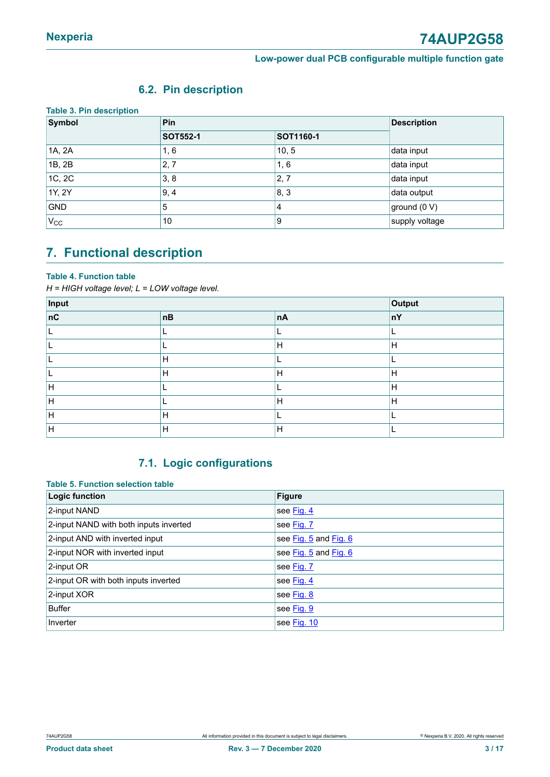### <span id="page-2-0"></span>**6.2. Pin description**

| <b>Table 3. Pin description</b> |                 |                  |                    |  |  |  |  |  |
|---------------------------------|-----------------|------------------|--------------------|--|--|--|--|--|
| Symbol                          | Pin             |                  | <b>Description</b> |  |  |  |  |  |
|                                 | <b>SOT552-1</b> | <b>SOT1160-1</b> |                    |  |  |  |  |  |
| 1A, 2A                          | 1, 6            | 10, 5            | data input         |  |  |  |  |  |
| 1B, 2B                          | 2,7             | 1, 6             | data input         |  |  |  |  |  |
| 1C, 2C                          | 3, 8            | 2, 7             | data input         |  |  |  |  |  |
| 1Y, 2Y                          | 9, 4            | 8,3              | data output        |  |  |  |  |  |
| <b>GND</b>                      | 5               | 4                | ground (0 V)       |  |  |  |  |  |
| $V_{\rm CC}$                    | 10              | 9                | supply voltage     |  |  |  |  |  |

### <span id="page-2-1"></span>**7. Functional description**

#### **Table 4. Function table**

*H = HIGH voltage level; L = LOW voltage level.*

| Input |              |    | Output       |
|-------|--------------|----|--------------|
| nC    | nB           | nA | nY           |
|       |              |    |              |
|       |              | H  | Н            |
|       | H            |    |              |
|       | H            | Н  | H            |
| H     |              |    | $\mathsf{H}$ |
| Iн    |              | н  | Н            |
| H     | Н            |    |              |
| H     | $\mathsf{H}$ | H  |              |

### <span id="page-2-2"></span>**7.1. Logic configurations**

#### **Table 5. Function selection table**

| <b>Logic function</b>                  | <b>Figure</b>         |
|----------------------------------------|-----------------------|
| 2-input NAND                           | see Fig. 4            |
| 2-input NAND with both inputs inverted | see Fig. 7            |
| 2-input AND with inverted input        | see Fig. 5 and Fig. 6 |
| 2-input NOR with inverted input        | see Fig. 5 and Fig. 6 |
| 2-input OR                             | see Fig. 7            |
| 2-input OR with both inputs inverted   | see Fig. 4            |
| 2-input XOR                            | see Fig. 8            |
| <b>Buffer</b>                          | see Fig. 9            |
| Inverter                               | see Fig. 10           |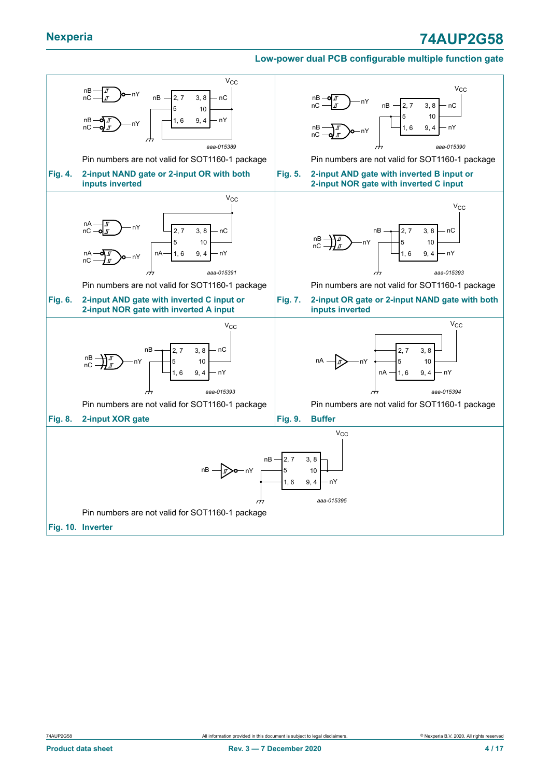### **Nexperia 74AUP2G58**

#### <span id="page-3-5"></span><span id="page-3-2"></span><span id="page-3-1"></span>**Low-power dual PCB configurable multiple function gate**

<span id="page-3-6"></span><span id="page-3-4"></span><span id="page-3-3"></span><span id="page-3-0"></span>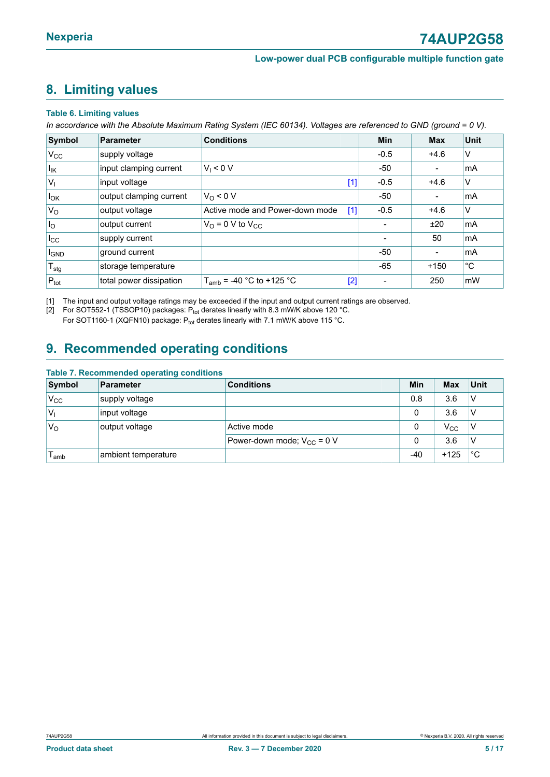### <span id="page-4-1"></span><span id="page-4-0"></span>**8. Limiting values**

#### **Table 6. Limiting values**

In accordance with the Absolute Maximum Rating System (IEC 60134). Voltages are referenced to GND (ground = 0 V).

| Symbol                      | Parameter               | <b>Conditions</b>                        | Min    | <b>Max</b>     | <b>Unit</b>             |
|-----------------------------|-------------------------|------------------------------------------|--------|----------------|-------------------------|
| $V_{\rm CC}$                | supply voltage          |                                          | $-0.5$ | $+4.6$         | V                       |
| $I_{IK}$                    | input clamping current  | $V_1 < 0 V$                              | $-50$  | $\blacksquare$ | mA                      |
| $V_{1}$                     | input voltage           | $[1]$                                    | $-0.5$ | $+4.6$         | $\vee$                  |
| $I_{OK}$                    | output clamping current | $V_0 < 0 V$                              | $-50$  |                | $\mathsf{Im}\mathsf{A}$ |
| $V_{\rm O}$                 | output voltage          | Active mode and Power-down mode<br>$[1]$ | $-0.5$ | $+4.6$         | V                       |
| $I_{\rm O}$                 | output current          | $V_{\text{O}}$ = 0 V to $V_{\text{CC}}$  |        | ±20            | l mA                    |
| $I_{\rm CC}$                | supply current          |                                          |        | 50             | mA                      |
| <b>I<sub>GND</sub></b>      | ground current          |                                          | $-50$  |                | mA                      |
| $\mathsf{T}_{\textsf{stg}}$ | storage temperature     |                                          | $-65$  | $+150$         | $^{\circ}$ C            |
| $P_{\text{tot}}$            | total power dissipation | $T_{amb}$ = -40 °C to +125 °C<br>$[2]$   |        | 250            | $\mathsf{mW}$           |

[1] The input and output voltage ratings may be exceeded if the input and output current ratings are observed.

[2] For SOT552-1 (TSSOP10) packages:  $P_{tot}$  derates linearly with 8.3 mW/K above 120 °C.

For SOT1160-1 (XQFN10) package:  $P_{tot}$  derates linearly with 7.1 mW/K above 115 °C.

### <span id="page-4-2"></span>**9. Recommended operating conditions**

#### **Table 7. Recommended operating conditions**

| Symbol           | <b>Parameter</b>    | <b>Conditions</b>               | Min   | <b>Max</b> | Unit |
|------------------|---------------------|---------------------------------|-------|------------|------|
| $V_{\rm CC}$     | supply voltage      |                                 | 0.8   | 3.6        | V    |
| 'V <sub>I</sub>  | input voltage       |                                 | 0     | 3.6        | V    |
| $V_{\rm O}$      | output voltage      | Active mode                     | 0     | $V_{CC}$   | ν    |
|                  |                     | Power-down mode; $V_{CC}$ = 0 V |       | 3.6        | V    |
| l <sub>amb</sub> | ambient temperature |                                 | $-40$ | $+125$     | °С   |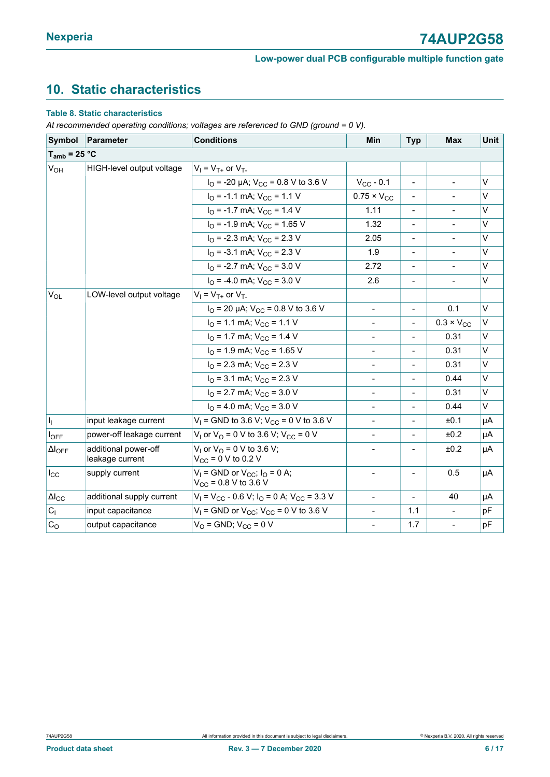### <span id="page-5-0"></span>**10. Static characteristics**

#### **Table 8. Static characteristics**

*At recommended operating conditions; voltages are referenced to GND (ground = 0 V).*

| Symbol                  | Parameter                               | <b>Conditions</b>                                                   | Min                          | <b>Typ</b>               | <b>Max</b>               | <b>Unit</b> |
|-------------------------|-----------------------------------------|---------------------------------------------------------------------|------------------------------|--------------------------|--------------------------|-------------|
| $T_{amb}$ = 25 °C       |                                         |                                                                     |                              |                          |                          |             |
| V <sub>OH</sub>         | HIGH-level output voltage               | $V_1 = V_{T+}$ or $V_{T-}$                                          |                              |                          |                          |             |
|                         |                                         | $I_{\text{O}}$ = -20 µA; $V_{\text{CC}}$ = 0.8 V to 3.6 V           | $V_{CC}$ - 0.1               |                          |                          | $\vee$      |
|                         |                                         | $IO$ = -1.1 mA; $VCC$ = 1.1 V                                       | $0.75 \times V_{CC}$         |                          |                          | $\vee$      |
|                         |                                         | $I_{\Omega}$ = -1.7 mA; $V_{\text{CC}}$ = 1.4 V                     | 1.11                         | $\overline{\phantom{a}}$ | $\overline{\phantom{a}}$ | V           |
|                         |                                         | $IO$ = -1.9 mA; $VCC$ = 1.65 V                                      | 1.32                         |                          | $\overline{\phantom{a}}$ | $\vee$      |
|                         |                                         | $IO$ = -2.3 mA; $VCC$ = 2.3 V                                       | 2.05                         |                          |                          | $\vee$      |
|                         |                                         | $IO$ = -3.1 mA; $VCC$ = 2.3 V                                       | 1.9                          | $\overline{\phantom{a}}$ | $\overline{\phantom{a}}$ | V           |
|                         |                                         | $IO$ = -2.7 mA; $VCC$ = 3.0 V                                       | 2.72                         |                          |                          | $\vee$      |
|                         |                                         | $I_{\Omega}$ = -4.0 mA; $V_{\text{CC}}$ = 3.0 V                     | 2.6                          | $\overline{\phantom{a}}$ | $\frac{1}{2}$            | V           |
| $V_{OL}$                | LOW-level output voltage                | $V_1 = V_{T+}$ or $V_{T-}$                                          |                              |                          |                          |             |
|                         |                                         | $I_{\text{O}}$ = 20 µA; $V_{\text{CC}}$ = 0.8 V to 3.6 V            | $\blacksquare$               |                          | 0.1                      | $\vee$      |
|                         |                                         | $IO$ = 1.1 mA; $VCC$ = 1.1 V                                        | $\blacksquare$               | $\overline{\phantom{a}}$ | $0.3 \times V_{CC}$      | $\vee$      |
|                         |                                         | $IO$ = 1.7 mA; $VCC$ = 1.4 V                                        | $\qquad \qquad \blacksquare$ |                          | 0.31                     | V           |
|                         |                                         | $IO$ = 1.9 mA; $VCC$ = 1.65 V                                       |                              |                          | 0.31                     | $\vee$      |
|                         |                                         | $I_{\Omega}$ = 2.3 mA; $V_{CC}$ = 2.3 V                             | $\blacksquare$               | $\overline{\phantom{a}}$ | 0.31                     | V           |
|                         |                                         | $IO$ = 3.1 mA; $VCC$ = 2.3 V                                        | $\blacksquare$               |                          | 0.44                     | V           |
|                         |                                         | $IO$ = 2.7 mA; $VCC$ = 3.0 V                                        | $\blacksquare$               |                          | 0.31                     | $\vee$      |
|                         |                                         | $IO$ = 4.0 mA; $VCC$ = 3.0 V                                        | $\qquad \qquad -$            | $\overline{\phantom{a}}$ | 0.44                     | V           |
| $\vert I_1 \vert$       | input leakage current                   | $V_1$ = GND to 3.6 V; V <sub>CC</sub> = 0 V to 3.6 V                |                              |                          | ±0.1                     | μA          |
| $I_{OFF}$               | power-off leakage current               | $V_1$ or $V_0$ = 0 V to 3.6 V; $V_{CC}$ = 0 V                       | $\blacksquare$               | $\overline{\phantom{a}}$ | ±0.2                     | μA          |
| $\Delta I_{OFF}$        | additional power-off<br>leakage current | $V_1$ or $V_0$ = 0 V to 3.6 V;<br>$V_{CC}$ = 0 V to 0.2 V           |                              |                          | ±0.2                     | μA          |
| $I_{\rm CC}$            | supply current                          | $V_1$ = GND or $V_{CC}$ ; $I_Q$ = 0 A;<br>$V_{CC}$ = 0.8 V to 3.6 V | $\qquad \qquad -$            |                          | 0.5                      | μA          |
| $\Delta I_{\rm CC}$     | additional supply current               | $V_1 = V_{CC} - 0.6 V$ ; $I_0 = 0 A$ ; $V_{CC} = 3.3 V$             | $\blacksquare$               |                          | 40                       | μA          |
| $\mathbf{C}_\mathsf{I}$ | input capacitance                       | $V_1$ = GND or $V_{CC}$ ; $V_{CC}$ = 0 V to 3.6 V                   | $\blacksquare$               | 1.1                      |                          | pF          |
| C <sub>O</sub>          | output capacitance                      | $VO$ = GND; $VCC$ = 0 V                                             | $\blacksquare$               | 1.7                      | $\overline{\phantom{a}}$ | pF          |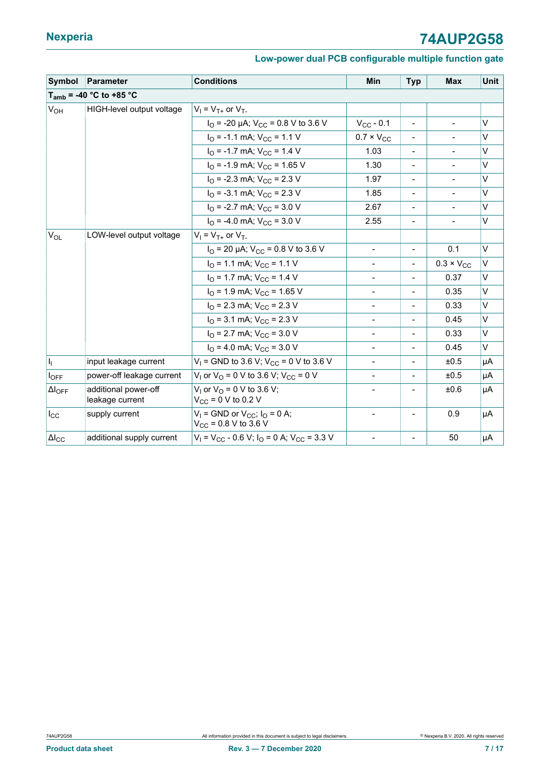| Symbol            | <b>Parameter</b>                        | <b>Conditions</b>                                                                                                                             | Min                          | <b>Typ</b>                   | <b>Max</b>                   | Unit   |
|-------------------|-----------------------------------------|-----------------------------------------------------------------------------------------------------------------------------------------------|------------------------------|------------------------------|------------------------------|--------|
|                   | $T_{amb}$ = -40 °C to +85 °C            |                                                                                                                                               |                              |                              |                              |        |
| V <sub>OH</sub>   | HIGH-level output voltage               | $V_1 = V_{T+}$ or $V_{T-}$                                                                                                                    |                              |                              |                              |        |
|                   |                                         | $I_{\Omega}$ = -20 µA; $V_{\text{CC}}$ = 0.8 V to 3.6 V                                                                                       | $V_{CC}$ - 0.1               | $\overline{\phantom{a}}$     | $\qquad \qquad \blacksquare$ | V      |
| $V_{OL}$          |                                         | $IO$ = -1.1 mA; $VCC$ = 1.1 V                                                                                                                 | $0.7 \times V_{CC}$          |                              |                              | V      |
|                   |                                         | $I_{\Omega}$ = -1.7 mA; $V_{\text{CC}}$ = 1.4 V                                                                                               | 1.03                         | $\overline{\phantom{0}}$     |                              | V      |
|                   |                                         | $I_{\text{O}}$ = -1.9 mA; $V_{\text{CC}}$ = 1.65 V                                                                                            | 1.30                         | $\overline{\phantom{a}}$     | $\qquad \qquad \blacksquare$ | V      |
|                   |                                         | $I_{\Omega}$ = -2.3 mA; $V_{\text{CC}}$ = 2.3 V                                                                                               | 1.97                         | $\qquad \qquad \blacksquare$ | $\frac{1}{2}$                | V      |
|                   |                                         | $IO$ = -3.1 mA; $VCC$ = 2.3 V                                                                                                                 | 1.85                         | $\overline{\phantom{0}}$     | $\blacksquare$               | $\vee$ |
|                   |                                         | $IO$ = -2.7 mA; $VCC$ = 3.0 V                                                                                                                 | 2.67                         | $\qquad \qquad \blacksquare$ |                              | $\vee$ |
|                   |                                         | $I_{\Omega}$ = -4.0 mA; $V_{\text{CC}}$ = 3.0 V                                                                                               | 2.55                         |                              |                              | V      |
|                   | LOW-level output voltage                | $V_1 = V_{T+}$ or $V_{T-}$                                                                                                                    |                              |                              |                              |        |
|                   |                                         | $I_{\text{O}}$ = 20 µA; $V_{\text{CC}}$ = 0.8 V to 3.6 V                                                                                      | $\blacksquare$               | $\overline{\phantom{a}}$     | 0.1                          | $\vee$ |
|                   |                                         | $IO$ = 1.1 mA; $VCC$ = 1.1 V                                                                                                                  | $\blacksquare$               | $\blacksquare$               | $0.3 \times V_{CC}$          | V      |
|                   |                                         | $IO$ = 1.7 mA; $VCC$ = 1.4 V                                                                                                                  | $\qquad \qquad \blacksquare$ | $\overline{\phantom{0}}$     | 0.37                         | V      |
|                   |                                         | $IO$ = 1.9 mA; $VCC$ = 1.65 V                                                                                                                 |                              | $\overline{\phantom{0}}$     | 0.35                         | V      |
|                   |                                         | $I_{\Omega}$ = 2.3 mA; $V_{\text{CC}}$ = 2.3 V                                                                                                |                              |                              | 0.33                         | $\vee$ |
|                   |                                         | $I_{\Omega}$ = 3.1 mA; $V_{\text{CC}}$ = 2.3 V                                                                                                |                              | $\overline{\phantom{0}}$     | 0.45                         | V      |
|                   |                                         | $I_{\text{O}}$ = 2.7 mA; $V_{\text{CC}}$ = 3.0 V                                                                                              | $\qquad \qquad \blacksquare$ | $\overline{\phantom{a}}$     | 0.33                         | V      |
|                   |                                         | $I_{\Omega}$ = 4.0 mA; $V_{\text{CC}}$ = 3.0 V                                                                                                | $\overline{\phantom{0}}$     | $\overline{\phantom{0}}$     | 0.45                         | V      |
| h                 | input leakage current                   | $V_1$ = GND to 3.6 V; V <sub>CC</sub> = 0 V to 3.6 V                                                                                          | $\qquad \qquad \blacksquare$ | $\overline{\phantom{0}}$     | ±0.5                         | μA     |
| $I_{OFF}$         | power-off leakage current               | $V_1$ or $V_0$ = 0 V to 3.6 V; $V_{CC}$ = 0 V                                                                                                 |                              | $\qquad \qquad \blacksquare$ | ±0.5                         | μA     |
| $\Delta I_{OFF}$  | additional power-off<br>leakage current | $V_1$ or $V_0$ = 0 V to 3.6 V;<br>$V_{CC}$ = 0 V to 0.2 V                                                                                     |                              | ±0.6                         | μA                           |        |
| $I_{\rm CC}$      | supply current                          | $V_1$ = GND or $V_{CC}$ ; $I_0$ = 0 A;<br>$\overline{\phantom{0}}$<br>$\overline{a}$<br>$V_{CC}$ = 0.8 V to 3.6 V<br>$\overline{\phantom{0}}$ |                              | 0.9                          | μA                           |        |
| $ \Delta I_{CC} $ | additional supply current               | $V_1 = V_{CC} - 0.6 V$ ; $I_0 = 0$ A; $V_{CC} = 3.3 V$                                                                                        | $\qquad \qquad \blacksquare$ |                              | 50                           | μA     |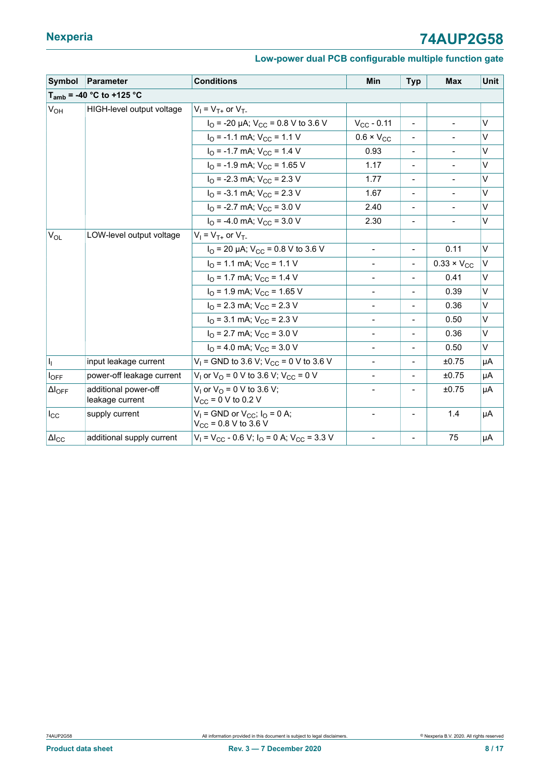| Symbol                    | Parameter                               | <b>Conditions</b>                                                              | <b>Min</b>                   | <b>Typ</b>                   | <b>Max</b>                   | Unit   |
|---------------------------|-----------------------------------------|--------------------------------------------------------------------------------|------------------------------|------------------------------|------------------------------|--------|
|                           | $T_{amb}$ = -40 °C to +125 °C           |                                                                                |                              |                              |                              |        |
| V <sub>OH</sub>           | HIGH-level output voltage               | $V_1 = V_{T+}$ or $V_{T-}$                                                     |                              |                              |                              |        |
|                           |                                         | $I_{\Omega}$ = -20 µA; $V_{\text{CC}}$ = 0.8 V to 3.6 V                        | $V_{CC} - 0.11$              | $\overline{\phantom{a}}$     | $\qquad \qquad \blacksquare$ | V      |
|                           |                                         | $IO$ = -1.1 mA; $VCC$ = 1.1 V                                                  | $0.6 \times V_{CC}$          | $\qquad \qquad \blacksquare$ |                              | V      |
|                           |                                         | $I_{\text{O}}$ = -1.7 mA; $V_{\text{CC}}$ = 1.4 V                              | 0.93                         | $\overline{\phantom{0}}$     |                              | V      |
|                           |                                         | $I_{\Omega}$ = -1.9 mA; $V_{\text{CC}}$ = 1.65 V                               | 1.17                         | $\overline{\phantom{a}}$     | $\frac{1}{2}$                | V      |
|                           |                                         | $I_{\Omega}$ = -2.3 mA; $V_{\text{CC}}$ = 2.3 V                                | 1.77                         | $\qquad \qquad \blacksquare$ | $\qquad \qquad \blacksquare$ | V      |
|                           |                                         | $IO$ = -3.1 mA; $VCC$ = 2.3 V                                                  | 1.67                         | $\overline{\phantom{0}}$     | $\qquad \qquad \blacksquare$ | V      |
|                           |                                         | $IO$ = -2.7 mA; $VCC$ = 3.0 V                                                  | 2.40                         | $\overline{\phantom{0}}$     | $\qquad \qquad \blacksquare$ | V      |
|                           |                                         | $I_{\Omega}$ = -4.0 mA; $V_{\text{CC}}$ = 3.0 V                                | 2.30                         | -                            |                              | V      |
| $V_{OL}$                  | LOW-level output voltage                | $V_1 = V_{T+}$ or $V_{T-}$                                                     |                              |                              |                              |        |
|                           |                                         | $I_{\text{O}}$ = 20 µA; $V_{\text{CC}}$ = 0.8 V to 3.6 V                       | $\blacksquare$               | $\overline{\phantom{a}}$     | 0.11                         | $\vee$ |
|                           |                                         | $IO$ = 1.1 mA; $VCC$ = 1.1 V                                                   | $\overline{\phantom{a}}$     | $\overline{\phantom{a}}$     | $0.33 \times V_{CC}$         | V      |
|                           |                                         | $I_{\Omega}$ = 1.7 mA; $V_{\text{CC}}$ = 1.4 V                                 | $\overline{\phantom{0}}$     | $\overline{\phantom{0}}$     | 0.41                         | V      |
|                           |                                         | $IO$ = 1.9 mA; $VCC$ = 1.65 V                                                  |                              |                              | 0.39                         | V      |
|                           |                                         | $IO$ = 2.3 mA; $VCC$ = 2.3 V                                                   |                              |                              | 0.36                         | V      |
|                           |                                         | $I_{\Omega}$ = 3.1 mA; $V_{\text{CC}}$ = 2.3 V                                 |                              | $\overline{\phantom{0}}$     | 0.50                         | V      |
|                           |                                         | $I_{\Omega}$ = 2.7 mA; $V_{\text{CC}}$ = 3.0 V                                 | $\overline{\phantom{a}}$     | $\overline{\phantom{a}}$     | 0.36                         | V      |
|                           |                                         | $I_{\Omega}$ = 4.0 mA; $V_{\text{CC}}$ = 3.0 V                                 | $\qquad \qquad \blacksquare$ | $\qquad \qquad \blacksquare$ | 0.50                         | V      |
| $\mathbf{I}_{\mathbf{I}}$ | input leakage current                   | $V_1$ = GND to 3.6 V; V <sub>CC</sub> = 0 V to 3.6 V                           | $\overline{\phantom{0}}$     | $\overline{\phantom{0}}$     | ±0.75                        | μA     |
| $I_{OFF}$                 | power-off leakage current               | $V_1$ or $V_0$ = 0 V to 3.6 V; $V_{CC}$ = 0 V                                  | $\qquad \qquad \blacksquare$ | $\overline{\phantom{0}}$     | ±0.75                        | μA     |
| $\Delta I_{OFF}$          | additional power-off<br>leakage current | $V_1$ or $V_0$ = 0 V to 3.6 V;<br>$V_{CC}$ = 0 V to 0.2 V                      |                              |                              | ±0.75                        | μA     |
| $I_{\rm CC}$              | supply current                          | $V_1$ = GND or $V_{CC}$ ; $I_0$ = 0 A;<br>$V_{CC}$ = 0.8 V to 3.6 V            | $\overline{\phantom{0}}$     | $\overline{\phantom{0}}$     | 1.4                          | μA     |
| $ \Delta _{\rm CC}$       | additional supply current               | $V_1$ = V <sub>CC</sub> - 0.6 V; I <sub>O</sub> = 0 A; V <sub>CC</sub> = 3.3 V | $\blacksquare$               | $\overline{\phantom{0}}$     | 75                           | μA     |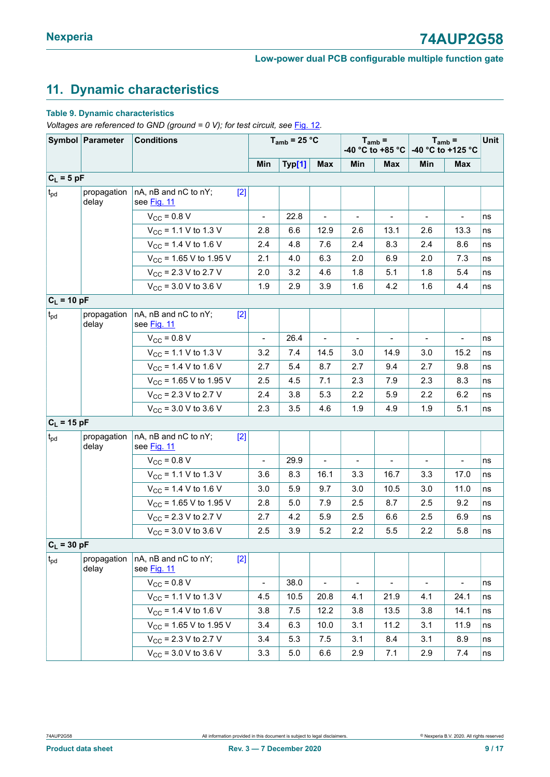### <span id="page-8-0"></span>**11. Dynamic characteristics**

#### **Table 9. Dynamic characteristics**

*Voltages are referenced to GND (ground = 0 V); for test circuit, see* [Fig. 12](#page-10-0)*.*

|                 | Symbol Parameter         | <b>Conditions</b>                                   |                | $T_{amb}$ = 25 °C |                          | $T_{amb}$ =<br>-40 °C to +85 °C |                | $T_{amb}$ =<br>-40 °C to +125 °C |                          | Unit |
|-----------------|--------------------------|-----------------------------------------------------|----------------|-------------------|--------------------------|---------------------------------|----------------|----------------------------------|--------------------------|------|
|                 |                          |                                                     | Min            | Typ[1]            | <b>Max</b>               | Min                             | <b>Max</b>     | Min                              | Max                      |      |
| $C_L = 5 pF$    |                          |                                                     |                |                   |                          |                                 |                |                                  |                          |      |
| $t_{\rm pd}$    | propagation<br>delay     | nA, nB and nC to nY;<br>$[2]$<br>see Fig. 11        |                |                   |                          |                                 |                |                                  |                          |      |
|                 |                          | $V_{CC} = 0.8 V$                                    |                | 22.8              |                          |                                 |                |                                  |                          | ns   |
|                 |                          | $V_{CC}$ = 1.1 V to 1.3 V                           | 2.8            | 6.6               | 12.9                     | 2.6                             | 13.1           | 2.6                              | 13.3                     | ns   |
|                 |                          | $V_{CC}$ = 1.4 V to 1.6 V                           | 2.4            | 4.8               | 7.6                      | 2.4                             | 8.3            | 2.4                              | 8.6                      | ns   |
|                 |                          | $V_{CC}$ = 1.65 V to 1.95 V                         | 2.1            | 4.0               | 6.3                      | 2.0                             | 6.9            | 2.0                              | 7.3                      | ns   |
|                 |                          | $V_{CC}$ = 2.3 V to 2.7 V                           | 2.0            | 3.2               | 4.6                      | 1.8                             | 5.1            | 1.8                              | 5.4                      | ns   |
|                 |                          | $V_{CC}$ = 3.0 V to 3.6 V                           | 1.9            | 2.9               | 3.9                      | 1.6                             | 4.2            | 1.6                              | 4.4                      | ns   |
| $C_L = 10 pF$   |                          |                                                     |                |                   |                          |                                 |                |                                  |                          |      |
| $t_{\rm pd}$    | propagation<br>delay     | nA, nB and nC to nY;<br>$[2]$<br>see Fig. 11        |                |                   |                          |                                 |                |                                  |                          |      |
|                 |                          | $V_{\text{CC}}$ = 0.8 V                             |                | 26.4              |                          |                                 |                |                                  |                          | ns   |
|                 |                          | $V_{CC}$ = 1.1 V to 1.3 V                           | 3.2            | 7.4               | 14.5                     | 3.0                             | 14.9           | 3.0                              | 15.2                     | ns   |
|                 |                          | $V_{CC}$ = 1.4 V to 1.6 V                           | 2.7            | 5.4               | 8.7                      | 2.7                             | 9.4            | 2.7                              | 9.8                      | ns   |
|                 |                          | $V_{CC}$ = 1.65 V to 1.95 V                         | 2.5            | 4.5               | 7.1                      | 2.3                             | 7.9            | 2.3                              | 8.3                      | ns   |
|                 |                          | $V_{CC}$ = 2.3 V to 2.7 V                           | 2.4            | 3.8               | 5.3                      | 2.2                             | 5.9            | 2.2                              | 6.2                      | ns   |
|                 |                          | $V_{CC}$ = 3.0 V to 3.6 V                           | 2.3            | 3.5               | 4.6                      | 1.9                             | 4.9            | 1.9                              | 5.1                      | ns   |
| $C_L = 15 pF$   |                          |                                                     |                |                   |                          |                                 |                |                                  |                          |      |
| $t_{\rm pd}$    | propagation<br>delay     | nA, nB and nC to nY;<br>$[2]$<br>see <b>Fig. 11</b> |                |                   |                          |                                 |                |                                  |                          |      |
|                 |                          | $V_{CC}$ = 0.8 V                                    |                | 29.9              | $\overline{\phantom{0}}$ |                                 |                |                                  |                          | ns   |
|                 |                          | $V_{CC}$ = 1.1 V to 1.3 V                           | 3.6            | 8.3               | 16.1                     | 3.3                             | 16.7           | 3.3                              | 17.0                     | ns   |
|                 |                          | $V_{CC}$ = 1.4 V to 1.6 V                           | 3.0            | 5.9               | 9.7                      | 3.0                             | 10.5           | 3.0                              | 11.0                     | ns   |
|                 |                          | $V_{CC}$ = 1.65 V to 1.95 V                         | 2.8            | 5.0               | 7.9                      | 2.5                             | 8.7            | $2.5\,$                          | 9.2                      | ns   |
|                 |                          | $V_{CC}$ = 2.3 V to 2.7 V                           | 2.7            | 4.2               | 5.9                      | 2.5                             | 6.6            | 2.5                              | 6.9                      | ns   |
|                 |                          | $V_{CC}$ = 3.0 V to 3.6 V                           | 2.5            | 3.9               | 5.2                      | 2.2                             | 5.5            | 2.2                              | 5.8                      | ns   |
| $C_L = 30 pF$   |                          |                                                     |                |                   |                          |                                 |                |                                  |                          |      |
| $t_{\text{pd}}$ | propagation $ $<br>delay | nA, nB and nC to nY;<br>$[2]$<br>see Fig. 11        |                |                   |                          |                                 |                |                                  |                          |      |
|                 |                          | $V_{CC}$ = 0.8 V                                    | $\blacksquare$ | 38.0              | $\blacksquare$           | $\blacksquare$                  | $\blacksquare$ | $\blacksquare$                   | $\overline{\phantom{a}}$ | ns   |
|                 |                          | $V_{CC}$ = 1.1 V to 1.3 V                           | 4.5            | 10.5              | 20.8                     | 4.1                             | 21.9           | 4.1                              | 24.1                     | ns   |
|                 |                          | $V_{CC}$ = 1.4 V to 1.6 V                           | 3.8            | 7.5               | 12.2                     | 3.8                             | 13.5           | 3.8                              | 14.1                     | ns   |
|                 |                          | $V_{CC}$ = 1.65 V to 1.95 V                         | 3.4            | 6.3               | 10.0                     | 3.1                             | 11.2           | 3.1                              | 11.9                     | ns   |
|                 |                          | $V_{CC}$ = 2.3 V to 2.7 V                           | 3.4            | 5.3               | 7.5                      | 3.1                             | 8.4            | 3.1                              | 8.9                      | ns   |
|                 |                          | $V_{CC}$ = 3.0 V to 3.6 V                           | 3.3            | 5.0               | 6.6                      | 2.9                             | 7.1            | 2.9                              | 7.4                      | ns   |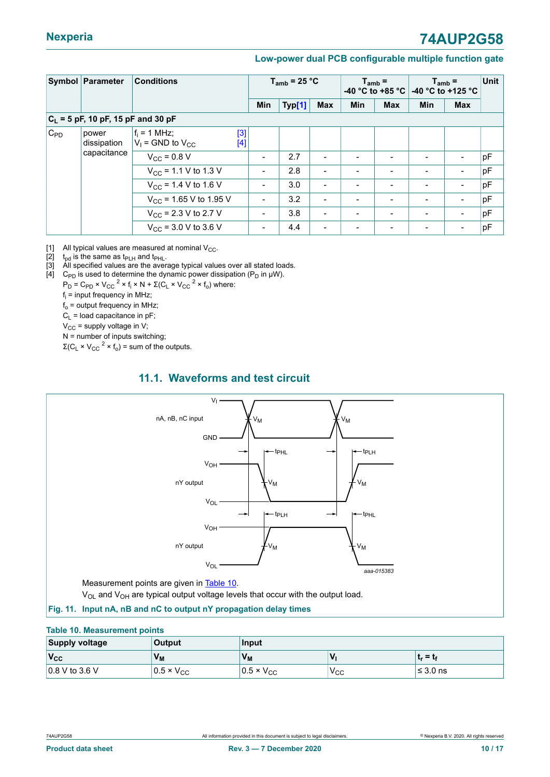<span id="page-9-0"></span>

|          | Symbol Parameter                     | <b>Conditions</b>                                           |                              | $T_{amb}$ = 25 °C |                          |            | $T_{amb}$ =              | -40 °C to +85 °C $\vert$ -40 °C to +125 °C | $T_{amb}$ =              | <b>Unit</b> |
|----------|--------------------------------------|-------------------------------------------------------------|------------------------------|-------------------|--------------------------|------------|--------------------------|--------------------------------------------|--------------------------|-------------|
|          |                                      |                                                             | <b>Min</b>                   | Typ[1]            | Max                      | <b>Min</b> | <b>Max</b>               | <b>Min</b>                                 | <b>Max</b>               |             |
|          | $C_L$ = 5 pF, 10 pF, 15 pF and 30 pF |                                                             |                              |                   |                          |            |                          |                                            |                          |             |
| $C_{PD}$ | power<br>dissipation<br>capacitance  | $f_i = 1$ MHz;<br>$[3]$<br>$V_1$ = GND to $V_{CC}$<br>$[4]$ |                              |                   |                          |            |                          |                                            |                          |             |
|          |                                      | $V_{CC}$ = 0.8 V                                            | $\qquad \qquad \blacksquare$ | 2.7               | $\blacksquare$           |            | $\overline{\phantom{a}}$ |                                            |                          | pF          |
|          |                                      | $V_{\rm CC}$ = 1.1 V to 1.3 V                               | $\overline{\phantom{a}}$     | 2.8               | $\blacksquare$           |            | $\overline{\phantom{a}}$ |                                            | -                        | pF          |
|          |                                      | $V_{CC}$ = 1.4 V to 1.6 V                                   | $\blacksquare$               | 3.0               | $\overline{\phantom{0}}$ |            | $\blacksquare$           |                                            |                          | pF          |
|          |                                      | $V_{CC}$ = 1.65 V to 1.95 V                                 | $\blacksquare$               | 3.2               | $\blacksquare$           |            | $\overline{\phantom{a}}$ |                                            | $\overline{\phantom{0}}$ | pF          |
|          |                                      | $V_{\rm CC}$ = 2.3 V to 2.7 V                               | $\blacksquare$               | 3.8               | $\overline{\phantom{0}}$ |            | $\overline{\phantom{a}}$ |                                            |                          | pF          |
|          |                                      | $V_{CC}$ = 3.0 V to 3.6 V                                   | $\qquad \qquad \blacksquare$ | 4.4               | $\blacksquare$           |            | $\overline{\phantom{a}}$ |                                            |                          | pF          |

[1] All typical values are measured at nominal  $V_{CC}$ .<br>[2]  $t_{\text{od}}$  is the same as  $t_{\text{PLH}}$  and  $t_{\text{PHL}}$ .

[2]  $t_{pd}$  is the same as  $t_{PLH}$  and  $t_{PHL}$ .<br>[3] All specified values are the avera

All specified values are the average typical values over all stated loads.

[4]  $\,$  C<sub>PD</sub> is used to determine the dynamic power dissipation (P<sub>D</sub> in  $\mu$ W).

 $P_D = C_{PD} \times V_{CC}^2 \times f_i \times N + \Sigma (C_L \times V_{CC}^2 \times f_o)$  where:

fi = input frequency in MHz;

 $f_0$  = output frequency in MHz;

 $C_1$  = load capacitance in pF;

 $V_{CC}$  = supply voltage in V;

N = number of inputs switching;

 $\Sigma$ (C<sub>L</sub> × V<sub>CC</sub><sup>2</sup> × f<sub>o</sub>) = sum of the outputs.

#### <span id="page-9-3"></span>**11.1. Waveforms and test circuit**

<span id="page-9-1"></span>

<span id="page-9-2"></span> $V_{OL}$  and  $V_{OH}$  are typical output voltage levels that occur with the output load.

#### **Fig. 11. Input nA, nB and nC to output nY propagation delay times**

#### **Table 10. Measurement points**

| <b>Supply voltage</b>  | <b>Output</b>       | <b>Input</b>        |                  |              |  |  |
|------------------------|---------------------|---------------------|------------------|--------------|--|--|
| $V_{\rm CC}$           | $V_{M}$             | $V_{M}$             | ν                | $t_r = t_f$  |  |  |
| $\vert$ 0.8 V to 3.6 V | $0.5 \times V_{CC}$ | $0.5 \times V_{CC}$ | 'V <sub>CC</sub> | $'$ ≤ 3.0 ns |  |  |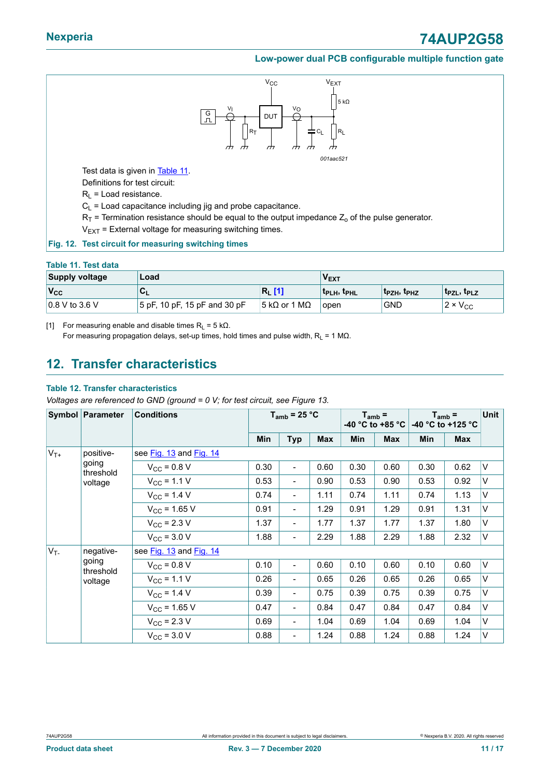<span id="page-10-2"></span><span id="page-10-0"></span>

#### <span id="page-10-1"></span>**Fig. 12. Test circuit for measuring switching times**

#### **Table 11. Test data**

| <b>Supply voltage</b>  | Load                         | ν <sub>εχτ</sub> |                                |                                     |                      |
|------------------------|------------------------------|------------------|--------------------------------|-------------------------------------|----------------------|
| $V_{\rm CC}$           | ືີ∟                          | $R_{L}$ [1]      | <b>t</b> PLH, t <sub>PHL</sub> | t <sub>PZH</sub> , t <sub>PHZ</sub> | $ t_{PZL}, t_{PLZ} $ |
| $\vert$ 0.8 V to 3.6 V | 5 pF, 10 pF, 15 pF and 30 pF | $ 5 kΩ$ or 1 MΩ  | <b>lopen</b>                   | <b>GND</b>                          | $12 \times V_{CC}$   |

[1] For measuring enable and disable times  $R_L = 5$  k $\Omega$ . For measuring propagation delays, set-up times, hold times and pulse width,  $R_L = 1 M\Omega$ .

### <span id="page-10-3"></span>**12. Transfer characteristics**

#### **Table 12. Transfer characteristics**

*Voltages are referenced to GND (ground = 0 V; for test circuit, see Figure 13.*

| Symbol Parameter   |                         | <b>Conditions</b>       | $T_{amb}$ = 25 °C |                              | $T_{amb}$ =<br>-40 $^{\circ}$ C to +85 $^{\circ}$ C |      | $T_{amb}$ =<br>-40 °C to +125 °C |      | Unit |        |  |
|--------------------|-------------------------|-------------------------|-------------------|------------------------------|-----------------------------------------------------|------|----------------------------------|------|------|--------|--|
|                    |                         |                         | Min               | <b>Typ</b>                   | <b>Max</b>                                          | Min  | <b>Max</b>                       | Min  | Max  |        |  |
| $V_{T+}$           | positive-               | see Fig. 13 and Fig. 14 |                   |                              |                                                     |      |                                  |      |      |        |  |
|                    | going<br>threshold      | $V_{CC}$ = 0.8 V        | 0.30              | $\overline{a}$               | 0.60                                                | 0.30 | 0.60                             | 0.30 | 0.62 | V      |  |
|                    | voltage                 | $V_{CC}$ = 1.1 V        | 0.53              | $\qquad \qquad \blacksquare$ | 0.90                                                | 0.53 | 0.90                             | 0.53 | 0.92 | V      |  |
|                    |                         | $V_{CC}$ = 1.4 V        | 0.74              | $\overline{\phantom{a}}$     | 1.11                                                | 0.74 | 1.11                             | 0.74 | 1.13 | V      |  |
|                    |                         | $V_{CC}$ = 1.65 V       | 0.91              | $\qquad \qquad \blacksquare$ | 1.29                                                | 0.91 | 1.29                             | 0.91 | 1.31 | V      |  |
|                    |                         | $V_{CC}$ = 2.3 V        | 1.37              | $\overline{\phantom{a}}$     | 1.77                                                | 1.37 | 1.77                             | 1.37 | 1.80 | V      |  |
|                    |                         | $V_{\text{CC}}$ = 3.0 V | 1.88              | $\qquad \qquad \blacksquare$ | 2.29                                                | 1.88 | 2.29                             | 1.88 | 2.32 | $\vee$ |  |
| $V_T$<br>negative- | see Fig. 13 and Fig. 14 |                         |                   |                              |                                                     |      |                                  |      |      |        |  |
|                    | going<br>threshold      | $V_{\rm CC}$ = 0.8 V    | 0.10              | $\overline{\phantom{a}}$     | 0.60                                                | 0.10 | 0.60                             | 0.10 | 0.60 | V      |  |
|                    | voltage                 | $V_{CC}$ = 1.1 V        | 0.26              | $\overline{\phantom{a}}$     | 0.65                                                | 0.26 | 0.65                             | 0.26 | 0.65 | V      |  |
|                    |                         | $V_{\rm CC}$ = 1.4 V    | 0.39              | $\qquad \qquad \blacksquare$ | 0.75                                                | 0.39 | 0.75                             | 0.39 | 0.75 | V      |  |
|                    |                         | $V_{CC}$ = 1.65 V       | 0.47              | $\overline{\phantom{a}}$     | 0.84                                                | 0.47 | 0.84                             | 0.47 | 0.84 | V      |  |
|                    |                         | $V_{CC}$ = 2.3 V        | 0.69              | $\overline{\phantom{a}}$     | 1.04                                                | 0.69 | 1.04                             | 0.69 | 1.04 | V      |  |
|                    |                         | $V_{CC}$ = 3.0 V        | 0.88              | $\qquad \qquad \blacksquare$ | 1.24                                                | 0.88 | 1.24                             | 0.88 | 1.24 | V      |  |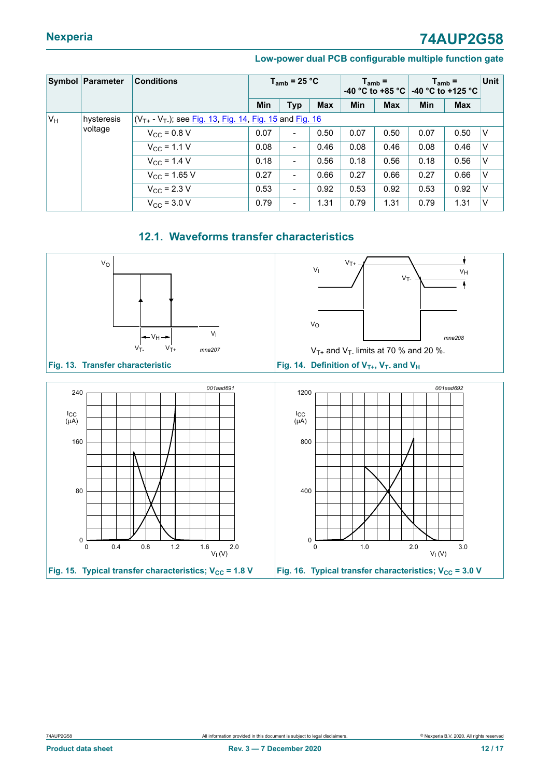|                | Symbol Parameter | <b>Conditions</b>                                            |      | $T_{amb}$ = 25 °C        |            | $T_{amb}$ =<br>-40 °C to +85 °C |            | $T_{amb}$ =<br>-40 °C to +125 °C |            | Unit |
|----------------|------------------|--------------------------------------------------------------|------|--------------------------|------------|---------------------------------|------------|----------------------------------|------------|------|
|                |                  |                                                              | Min  | <b>Typ</b>               | <b>Max</b> | Min                             | <b>Max</b> | <b>Min</b>                       | <b>Max</b> |      |
| V <sub>H</sub> | hysteresis       | $(V_{T+} - V_T)$ ; see Fig. 13, Fig. 14, Fig. 15 and Fig. 16 |      |                          |            |                                 |            |                                  |            |      |
|                | voltage          | $V_{\text{CC}}$ = 0.8 V                                      | 0.07 | $\overline{\phantom{a}}$ | 0.50       | 0.07                            | 0.50       | 0.07                             | 0.50       | ΙV   |
|                |                  | $V_{\rm CC} = 1.1 V$                                         | 0.08 | $\overline{\phantom{a}}$ | 0.46       | 0.08                            | 0.46       | 0.08                             | 0.46       | ١v   |
|                |                  | $V_{CC}$ = 1.4 V                                             | 0.18 | $\overline{\phantom{a}}$ | 0.56       | 0.18                            | 0.56       | 0.18                             | 0.56       | IV   |
|                |                  | $V_{C}$ = 1.65 V                                             | 0.27 | $\overline{\phantom{a}}$ | 0.66       | 0.27                            | 0.66       | 0.27                             | 0.66       | ΙV   |
|                |                  | $V_{\rm CC}$ = 2.3 V                                         | 0.53 | $\overline{\phantom{a}}$ | 0.92       | 0.53                            | 0.92       | 0.53                             | 0.92       | ΙV   |
|                |                  | $V_{\text{CC}}$ = 3.0 V                                      | 0.79 | $\overline{\phantom{a}}$ | 1.31       | 0.79                            | 1.31       | 0.79                             | 1.31       | ١v   |

### <span id="page-11-4"></span><span id="page-11-3"></span><span id="page-11-1"></span>**12.1. Waveforms transfer characteristics**

<span id="page-11-2"></span><span id="page-11-0"></span>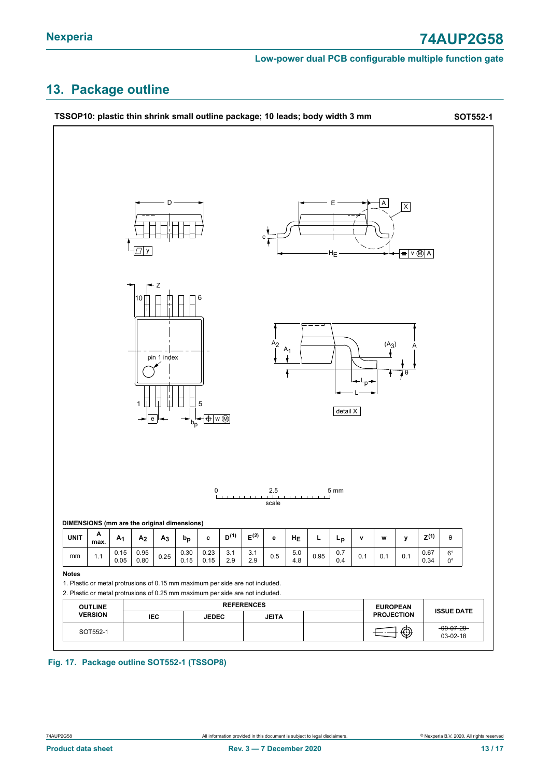### <span id="page-12-0"></span>**13. Package outline**



#### **Fig. 17. Package outline SOT552-1 (TSSOP8)**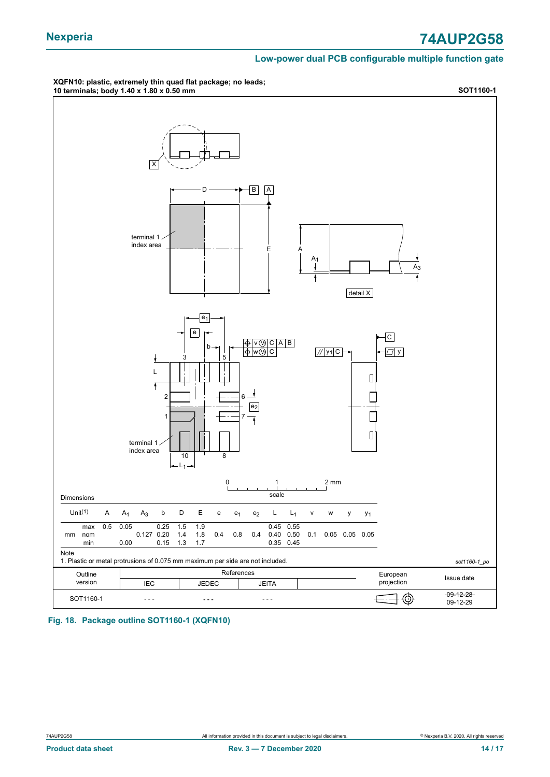### **Nexperia 74AUP2G58**

#### **Low-power dual PCB configurable multiple function gate**

#### **XQFN10: plastic, extremely thin quad flat package; no leads; 10 terminals; body 1.40 x 1.80 x 0.50 mm SOT1160-1**



**Fig. 18. Package outline SOT1160-1 (XQFN10)**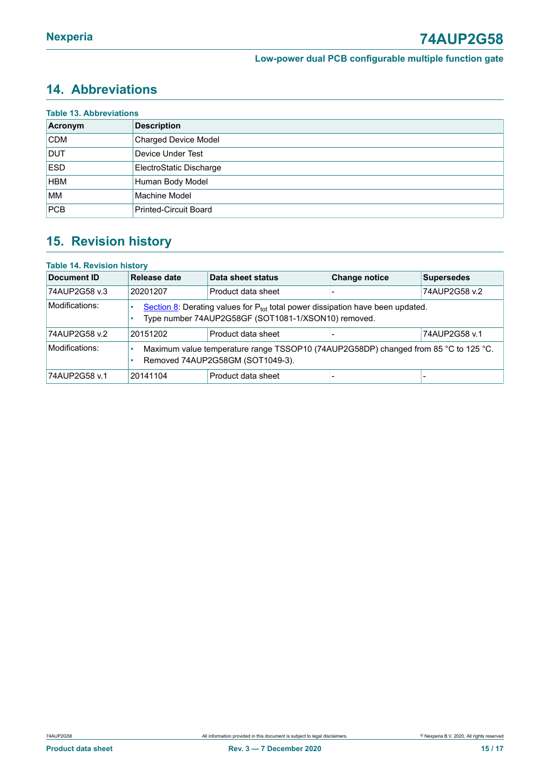### <span id="page-14-0"></span>**14. Abbreviations**

| Acronym    | <b>Description</b>           |
|------------|------------------------------|
| <b>CDM</b> | <b>Charged Device Model</b>  |
| <b>DUT</b> | Device Under Test            |
| <b>ESD</b> | ElectroStatic Discharge      |
| <b>HBM</b> | Human Body Model             |
| <b>MM</b>  | Machine Model                |
| PCB        | <b>Printed-Circuit Board</b> |

### <span id="page-14-1"></span>**15. Revision history**

| <b>Table 14. Revision history</b> |                                                                                                                         |                                                                                                                                            |                      |                   |  |
|-----------------------------------|-------------------------------------------------------------------------------------------------------------------------|--------------------------------------------------------------------------------------------------------------------------------------------|----------------------|-------------------|--|
| Document ID                       | Release date                                                                                                            | Data sheet status                                                                                                                          | <b>Change notice</b> | <b>Supersedes</b> |  |
| 74AUP2G58 v.3                     | 20201207                                                                                                                | Product data sheet                                                                                                                         |                      | 74AUP2G58 v.2     |  |
| Modifications:                    |                                                                                                                         | Section 8: Derating values for $P_{tot}$ total power dissipation have been updated.<br>Type number 74AUP2G58GF (SOT1081-1/XSON10) removed. |                      |                   |  |
| 74AUP2G58 v.2                     | 20151202                                                                                                                | Product data sheet                                                                                                                         |                      | 74AUP2G58 v.1     |  |
| Modifications:                    | Maximum value temperature range TSSOP10 (74AUP2G58DP) changed from 85 °C to 125 °C.<br>Removed 74AUP2G58GM (SOT1049-3). |                                                                                                                                            |                      |                   |  |
| 74AUP2G58 v.1                     | 20141104                                                                                                                | Product data sheet                                                                                                                         |                      |                   |  |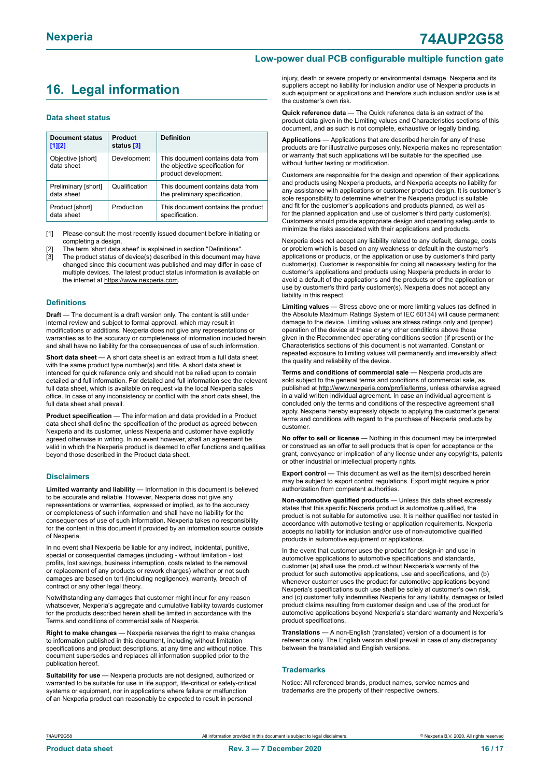### <span id="page-15-0"></span>**16. Legal information**

#### **Data sheet status**

| Document status<br>$[1]$ [2]      | Product<br>status [3] | <b>Definition</b>                                                                           |
|-----------------------------------|-----------------------|---------------------------------------------------------------------------------------------|
| Objective [short]<br>data sheet   | Development           | This document contains data from<br>the objective specification for<br>product development. |
| Preliminary [short]<br>data sheet | Qualification         | This document contains data from<br>the preliminary specification.                          |
| Product [short]<br>data sheet     | Production            | This document contains the product<br>specification.                                        |

[1] Please consult the most recently issued document before initiating or completing a design.

- The term 'short data sheet' is explained in section "Definitions".
- [3] The product status of device(s) described in this document may have changed since this document was published and may differ in case of multiple devices. The latest product status information is available on the internet at [https://www.nexperia.com.](https://www.nexperia.com)

#### **Definitions**

**Draft** — The document is a draft version only. The content is still under internal review and subject to formal approval, which may result in modifications or additions. Nexperia does not give any representations or warranties as to the accuracy or completeness of information included herein and shall have no liability for the consequences of use of such information.

**Short data sheet** — A short data sheet is an extract from a full data sheet with the same product type number(s) and title. A short data sheet is intended for quick reference only and should not be relied upon to contain detailed and full information. For detailed and full information see the relevant full data sheet, which is available on request via the local Nexperia sales office. In case of any inconsistency or conflict with the short data sheet, the full data sheet shall prevail.

**Product specification** — The information and data provided in a Product data sheet shall define the specification of the product as agreed between Nexperia and its customer, unless Nexperia and customer have explicitly agreed otherwise in writing. In no event however, shall an agreement be valid in which the Nexperia product is deemed to offer functions and qualities beyond those described in the Product data sheet.

#### **Disclaimers**

**Limited warranty and liability** — Information in this document is believed to be accurate and reliable. However, Nexperia does not give any representations or warranties, expressed or implied, as to the accuracy or completeness of such information and shall have no liability for the consequences of use of such information. Nexperia takes no responsibility for the content in this document if provided by an information source outside of Nexperia.

In no event shall Nexperia be liable for any indirect, incidental, punitive, special or consequential damages (including - without limitation - lost profits, lost savings, business interruption, costs related to the removal or replacement of any products or rework charges) whether or not such damages are based on tort (including negligence), warranty, breach of contract or any other legal theory.

Notwithstanding any damages that customer might incur for any reason whatsoever, Nexperia's aggregate and cumulative liability towards customer for the products described herein shall be limited in accordance with the Terms and conditions of commercial sale of Nexperia.

**Right to make changes** — Nexperia reserves the right to make changes to information published in this document, including without limitation specifications and product descriptions, at any time and without notice. This document supersedes and replaces all information supplied prior to the publication hereof

**Suitability for use** — Nexperia products are not designed, authorized or warranted to be suitable for use in life support, life-critical or safety-critical systems or equipment, nor in applications where failure or malfunction of an Nexperia product can reasonably be expected to result in personal

injury, death or severe property or environmental damage. Nexperia and its suppliers accept no liability for inclusion and/or use of Nexperia products in such equipment or applications and therefore such inclusion and/or use is at the customer's own risk.

**Quick reference data** — The Quick reference data is an extract of the product data given in the Limiting values and Characteristics sections of this document, and as such is not complete, exhaustive or legally binding.

**Applications** — Applications that are described herein for any of these products are for illustrative purposes only. Nexperia makes no representation or warranty that such applications will be suitable for the specified use without further testing or modification.

Customers are responsible for the design and operation of their applications and products using Nexperia products, and Nexperia accepts no liability for any assistance with applications or customer product design. It is customer's sole responsibility to determine whether the Nexperia product is suitable and fit for the customer's applications and products planned, as well as for the planned application and use of customer's third party customer(s). Customers should provide appropriate design and operating safeguards to minimize the risks associated with their applications and products.

Nexperia does not accept any liability related to any default, damage, costs or problem which is based on any weakness or default in the customer's applications or products, or the application or use by customer's third party customer(s). Customer is responsible for doing all necessary testing for the customer's applications and products using Nexperia products in order to avoid a default of the applications and the products or of the application or use by customer's third party customer(s). Nexperia does not accept any liability in this respect.

**Limiting values** — Stress above one or more limiting values (as defined in the Absolute Maximum Ratings System of IEC 60134) will cause permanent damage to the device. Limiting values are stress ratings only and (proper) operation of the device at these or any other conditions above those given in the Recommended operating conditions section (if present) or the Characteristics sections of this document is not warranted. Constant or repeated exposure to limiting values will permanently and irreversibly affect the quality and reliability of the device.

**Terms and conditions of commercial sale** — Nexperia products are sold subject to the general terms and conditions of commercial sale, as published at [http://www.nexperia.com/profile/terms,](http://www.nexperia.com/profile/terms) unless otherwise agreed in a valid written individual agreement. In case an individual agreement is concluded only the terms and conditions of the respective agreement shall apply. Nexperia hereby expressly objects to applying the customer's general terms and conditions with regard to the purchase of Nexperia products by customer.

**No offer to sell or license** — Nothing in this document may be interpreted or construed as an offer to sell products that is open for acceptance or the grant, conveyance or implication of any license under any copyrights, patents or other industrial or intellectual property rights.

**Export control** — This document as well as the item(s) described herein may be subject to export control regulations. Export might require a prior authorization from competent authorities.

**Non-automotive qualified products** — Unless this data sheet expressly states that this specific Nexperia product is automotive qualified, the product is not suitable for automotive use. It is neither qualified nor tested in accordance with automotive testing or application requirements. Nexperia accepts no liability for inclusion and/or use of non-automotive qualified products in automotive equipment or applications.

In the event that customer uses the product for design-in and use in automotive applications to automotive specifications and standards, customer (a) shall use the product without Nexperia's warranty of the product for such automotive applications, use and specifications, and (b) whenever customer uses the product for automotive applications beyond Nexperia's specifications such use shall be solely at customer's own risk, and (c) customer fully indemnifies Nexperia for any liability, damages or failed product claims resulting from customer design and use of the product for automotive applications beyond Nexperia's standard warranty and Nexperia's product specifications.

**Translations** — A non-English (translated) version of a document is for reference only. The English version shall prevail in case of any discrepancy between the translated and English versions.

#### **Trademarks**

Notice: All referenced brands, product names, service names and trademarks are the property of their respective owners.